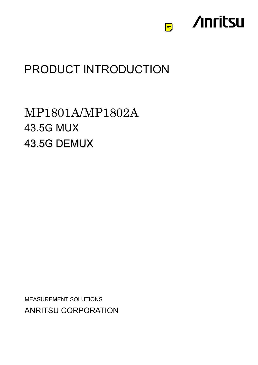

# PRODUCT INTRODUCTION

# MP1801A/MP1802A 43.5G MUX 43.5G DEMUX

ANRITSU CORPORATION MEASUREMENT SOLUTIONS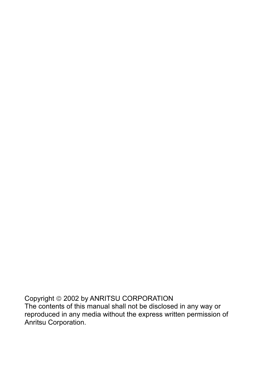Copyright © 2002 by ANRITSU CORPORATION The contents of this manual shall not be disclosed in any way or reproduced in any media without the express written permission of Anritsu Corporation.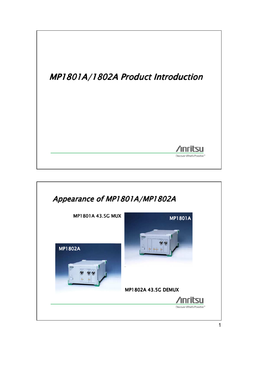

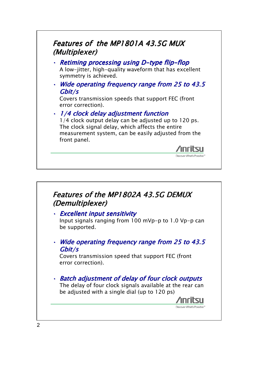

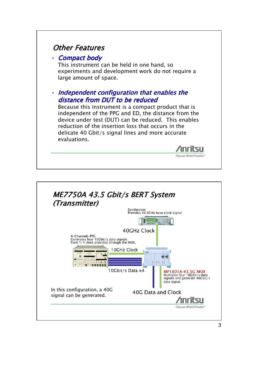

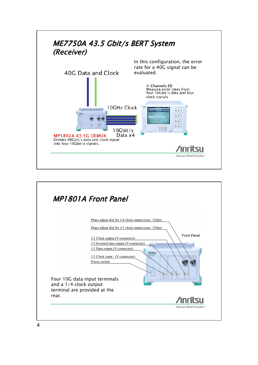

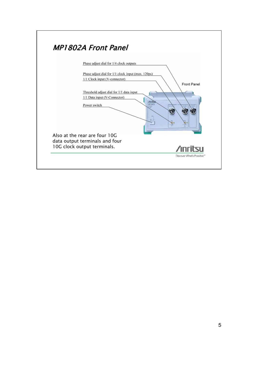